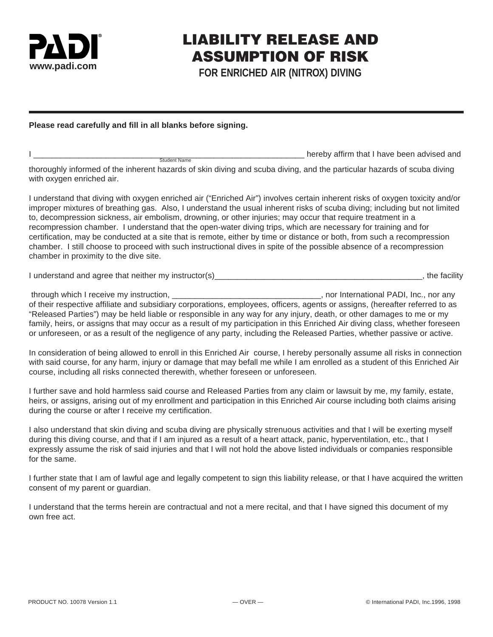

## LIABILITY RELEASE AND ASSUMPTION OF RISK

**FOR ENRICHED AIR (NITROX) DIVING**

## **Please read carefully and fill in all blanks before signing.**

| <b>Student Name</b><br>thoroughly informed of the inherent hazards of skin diving and scuba diving, and the particular hazards of scuba diving<br>with oxygen enriched air.                                                                                                                                                                                                                                                                                                                                                                                                                                                                                                                                                                                                               | hereby affirm that I have been advised and |
|-------------------------------------------------------------------------------------------------------------------------------------------------------------------------------------------------------------------------------------------------------------------------------------------------------------------------------------------------------------------------------------------------------------------------------------------------------------------------------------------------------------------------------------------------------------------------------------------------------------------------------------------------------------------------------------------------------------------------------------------------------------------------------------------|--------------------------------------------|
| I understand that diving with oxygen enriched air ("Enriched Air") involves certain inherent risks of oxygen toxicity and/or<br>improper mixtures of breathing gas. Also, I understand the usual inherent risks of scuba diving; including but not limited<br>to, decompression sickness, air embolism, drowning, or other injuries; may occur that require treatment in a<br>recompression chamber. I understand that the open-water diving trips, which are necessary for training and for<br>certification, may be conducted at a site that is remote, either by time or distance or both, from such a recompression<br>chamber. I still choose to proceed with such instructional dives in spite of the possible absence of a recompression<br>chamber in proximity to the dive site. |                                            |

I understand and agree that neither my instructor(s) example that is a set of the facility of the facility of the facility

through which I receive my instruction, the same of the same of the same of the same of the same of the same of the same of the same of the same of the same of the same of the same of the same of the same of the same of th of their respective affiliate and subsidiary corporations, employees, officers, agents or assigns, (hereafter referred to as "Released Parties") may be held liable or responsible in any way for any injury, death, or other damages to me or my family, heirs, or assigns that may occur as a result of my participation in this Enriched Air diving class, whether foreseen or unforeseen, or as a result of the negligence of any party, including the Released Parties, whether passive or active.

In consideration of being allowed to enroll in this Enriched Air course, I hereby personally assume all risks in connection with said course, for any harm, injury or damage that may befall me while I am enrolled as a student of this Enriched Air course, including all risks connected therewith, whether foreseen or unforeseen.

I further save and hold harmless said course and Released Parties from any claim or lawsuit by me, my family, estate, heirs, or assigns, arising out of my enrollment and participation in this Enriched Air course including both claims arising during the course or after I receive my certification.

I also understand that skin diving and scuba diving are physically strenuous activities and that I will be exerting myself during this diving course, and that if I am injured as a result of a heart attack, panic, hyperventilation, etc., that I expressly assume the risk of said injuries and that I will not hold the above listed individuals or companies responsible for the same.

I further state that I am of lawful age and legally competent to sign this liability release, or that I have acquired the written consent of my parent or guardian.

I understand that the terms herein are contractual and not a mere recital, and that I have signed this document of my own free act.